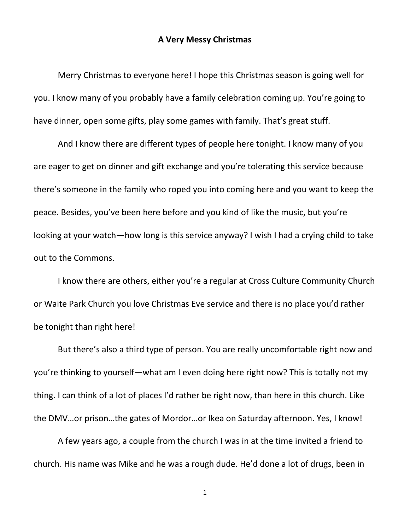## **A Very Messy Christmas**

Merry Christmas to everyone here! I hope this Christmas season is going well for you. I know many of you probably have a family celebration coming up. You're going to have dinner, open some gifts, play some games with family. That's great stuff.

And I know there are different types of people here tonight. I know many of you are eager to get on dinner and gift exchange and you're tolerating this service because there's someone in the family who roped you into coming here and you want to keep the peace. Besides, you've been here before and you kind of like the music, but you're looking at your watch—how long is this service anyway? I wish I had a crying child to take out to the Commons.

I know there are others, either you're a regular at Cross Culture Community Church or Waite Park Church you love Christmas Eve service and there is no place you'd rather be tonight than right here!

But there's also a third type of person. You are really uncomfortable right now and you're thinking to yourself—what am I even doing here right now? This is totally not my thing. I can think of a lot of places I'd rather be right now, than here in this church. Like the DMV…or prison…the gates of Mordor…or Ikea on Saturday afternoon. Yes, I know!

A few years ago, a couple from the church I was in at the time invited a friend to church. His name was Mike and he was a rough dude. He'd done a lot of drugs, been in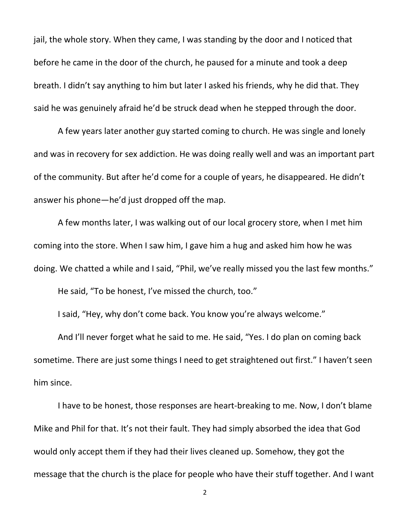jail, the whole story. When they came, I was standing by the door and I noticed that before he came in the door of the church, he paused for a minute and took a deep breath. I didn't say anything to him but later I asked his friends, why he did that. They said he was genuinely afraid he'd be struck dead when he stepped through the door.

A few years later another guy started coming to church. He was single and lonely and was in recovery for sex addiction. He was doing really well and was an important part of the community. But after he'd come for a couple of years, he disappeared. He didn't answer his phone—he'd just dropped off the map.

A few months later, I was walking out of our local grocery store, when I met him coming into the store. When I saw him, I gave him a hug and asked him how he was doing. We chatted a while and I said, "Phil, we've really missed you the last few months." He said, "To be honest, I've missed the church, too."

I said, "Hey, why don't come back. You know you're always welcome."

And I'll never forget what he said to me. He said, "Yes. I do plan on coming back sometime. There are just some things I need to get straightened out first." I haven't seen him since.

I have to be honest, those responses are heart-breaking to me. Now, I don't blame Mike and Phil for that. It's not their fault. They had simply absorbed the idea that God would only accept them if they had their lives cleaned up. Somehow, they got the message that the church is the place for people who have their stuff together. And I want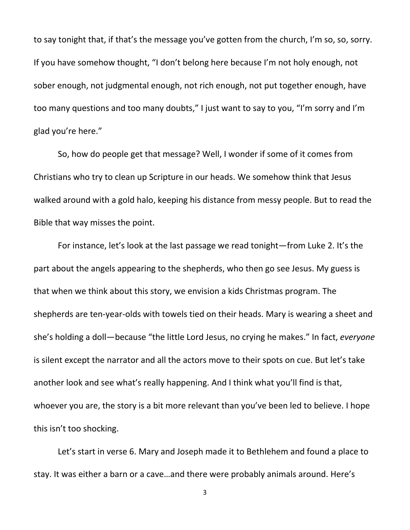to say tonight that, if that's the message you've gotten from the church, I'm so, so, sorry. If you have somehow thought, "I don't belong here because I'm not holy enough, not sober enough, not judgmental enough, not rich enough, not put together enough, have too many questions and too many doubts," I just want to say to you, "I'm sorry and I'm glad you're here."

So, how do people get that message? Well, I wonder if some of it comes from Christians who try to clean up Scripture in our heads. We somehow think that Jesus walked around with a gold halo, keeping his distance from messy people. But to read the Bible that way misses the point.

For instance, let's look at the last passage we read tonight—from Luke 2. It's the part about the angels appearing to the shepherds, who then go see Jesus. My guess is that when we think about this story, we envision a kids Christmas program. The shepherds are ten-year-olds with towels tied on their heads. Mary is wearing a sheet and she's holding a doll—because "the little Lord Jesus, no crying he makes." In fact, *everyone* is silent except the narrator and all the actors move to their spots on cue. But let's take another look and see what's really happening. And I think what you'll find is that, whoever you are, the story is a bit more relevant than you've been led to believe. I hope this isn't too shocking.

Let's start in verse 6. Mary and Joseph made it to Bethlehem and found a place to stay. It was either a barn or a cave…and there were probably animals around. Here's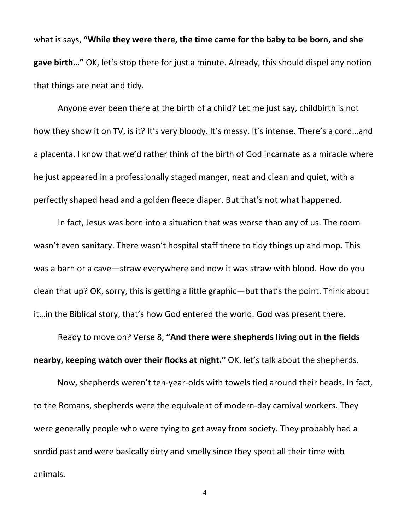what is says, **"While they were there, the time came for the baby to be born, and she gave birth…"** OK, let's stop there for just a minute. Already, this should dispel any notion that things are neat and tidy.

Anyone ever been there at the birth of a child? Let me just say, childbirth is not how they show it on TV, is it? It's very bloody. It's messy. It's intense. There's a cord...and a placenta. I know that we'd rather think of the birth of God incarnate as a miracle where he just appeared in a professionally staged manger, neat and clean and quiet, with a perfectly shaped head and a golden fleece diaper. But that's not what happened.

In fact, Jesus was born into a situation that was worse than any of us. The room wasn't even sanitary. There wasn't hospital staff there to tidy things up and mop. This was a barn or a cave—straw everywhere and now it was straw with blood. How do you clean that up? OK, sorry, this is getting a little graphic—but that's the point. Think about it…in the Biblical story, that's how God entered the world. God was present there.

Ready to move on? Verse 8, **"And there were shepherds living out in the fields nearby, keeping watch over their flocks at night."** OK, let's talk about the shepherds.

Now, shepherds weren't ten-year-olds with towels tied around their heads. In fact, to the Romans, shepherds were the equivalent of modern-day carnival workers. They were generally people who were tying to get away from society. They probably had a sordid past and were basically dirty and smelly since they spent all their time with animals.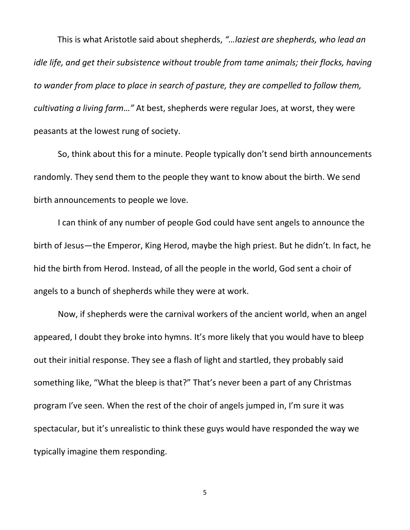This is what Aristotle said about shepherds, *"…laziest are shepherds, who lead an idle life, and get their subsistence without trouble from tame animals; their flocks, having to wander from place to place in search of pasture, they are compelled to follow them, cultivating a living farm…"* At best, shepherds were regular Joes, at worst, they were peasants at the lowest rung of society.

So, think about this for a minute. People typically don't send birth announcements randomly. They send them to the people they want to know about the birth. We send birth announcements to people we love.

I can think of any number of people God could have sent angels to announce the birth of Jesus—the Emperor, King Herod, maybe the high priest. But he didn't. In fact, he hid the birth from Herod. Instead, of all the people in the world, God sent a choir of angels to a bunch of shepherds while they were at work.

Now, if shepherds were the carnival workers of the ancient world, when an angel appeared, I doubt they broke into hymns. It's more likely that you would have to bleep out their initial response. They see a flash of light and startled, they probably said something like, "What the bleep is that?" That's never been a part of any Christmas program I've seen. When the rest of the choir of angels jumped in, I'm sure it was spectacular, but it's unrealistic to think these guys would have responded the way we typically imagine them responding.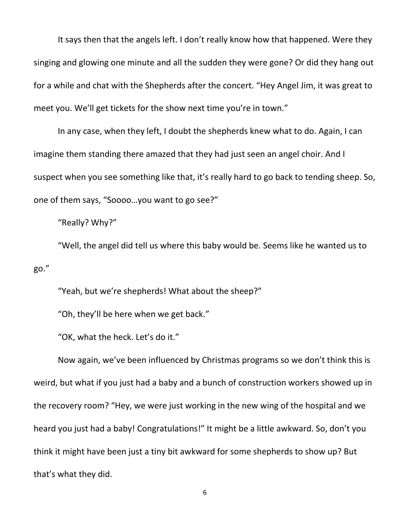It says then that the angels left. I don't really know how that happened. Were they singing and glowing one minute and all the sudden they were gone? Or did they hang out for a while and chat with the Shepherds after the concert. "Hey Angel Jim, it was great to meet you. We'll get tickets for the show next time you're in town."

In any case, when they left, I doubt the shepherds knew what to do. Again, I can imagine them standing there amazed that they had just seen an angel choir. And I suspect when you see something like that, it's really hard to go back to tending sheep. So, one of them says, "Soooo…you want to go see?"

"Really? Why?"

"Well, the angel did tell us where this baby would be. Seems like he wanted us to go."

"Yeah, but we're shepherds! What about the sheep?"

"Oh, they'll be here when we get back."

"OK, what the heck. Let's do it."

Now again, we've been influenced by Christmas programs so we don't think this is weird, but what if you just had a baby and a bunch of construction workers showed up in the recovery room? "Hey, we were just working in the new wing of the hospital and we heard you just had a baby! Congratulations!" It might be a little awkward. So, don't you think it might have been just a tiny bit awkward for some shepherds to show up? But that's what they did.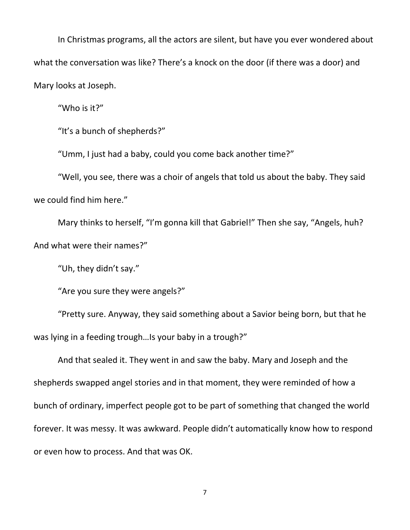In Christmas programs, all the actors are silent, but have you ever wondered about what the conversation was like? There's a knock on the door (if there was a door) and Mary looks at Joseph.

"Who is it?"

"It's a bunch of shepherds?"

"Umm, I just had a baby, could you come back another time?"

"Well, you see, there was a choir of angels that told us about the baby. They said we could find him here."

Mary thinks to herself, "I'm gonna kill that Gabriel!" Then she say, "Angels, huh? And what were their names?"

"Uh, they didn't say."

"Are you sure they were angels?"

"Pretty sure. Anyway, they said something about a Savior being born, but that he was lying in a feeding trough…Is your baby in a trough?"

And that sealed it. They went in and saw the baby. Mary and Joseph and the shepherds swapped angel stories and in that moment, they were reminded of how a bunch of ordinary, imperfect people got to be part of something that changed the world forever. It was messy. It was awkward. People didn't automatically know how to respond or even how to process. And that was OK.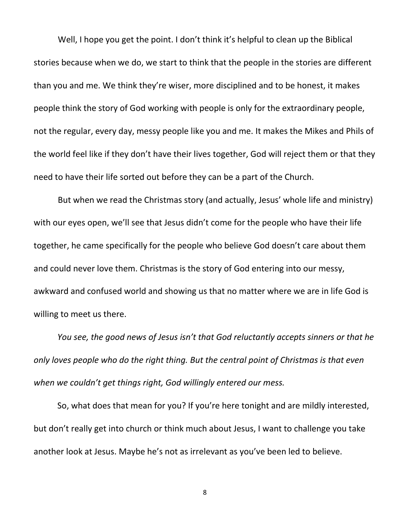Well, I hope you get the point. I don't think it's helpful to clean up the Biblical stories because when we do, we start to think that the people in the stories are different than you and me. We think they're wiser, more disciplined and to be honest, it makes people think the story of God working with people is only for the extraordinary people, not the regular, every day, messy people like you and me. It makes the Mikes and Phils of the world feel like if they don't have their lives together, God will reject them or that they need to have their life sorted out before they can be a part of the Church.

But when we read the Christmas story (and actually, Jesus' whole life and ministry) with our eyes open, we'll see that Jesus didn't come for the people who have their life together, he came specifically for the people who believe God doesn't care about them and could never love them. Christmas is the story of God entering into our messy, awkward and confused world and showing us that no matter where we are in life God is willing to meet us there.

*You see, the good news of Jesus isn't that God reluctantly accepts sinners or that he only loves people who do the right thing. But the central point of Christmas is that even when we couldn't get things right, God willingly entered our mess.* 

So, what does that mean for you? If you're here tonight and are mildly interested, but don't really get into church or think much about Jesus, I want to challenge you take another look at Jesus. Maybe he's not as irrelevant as you've been led to believe.